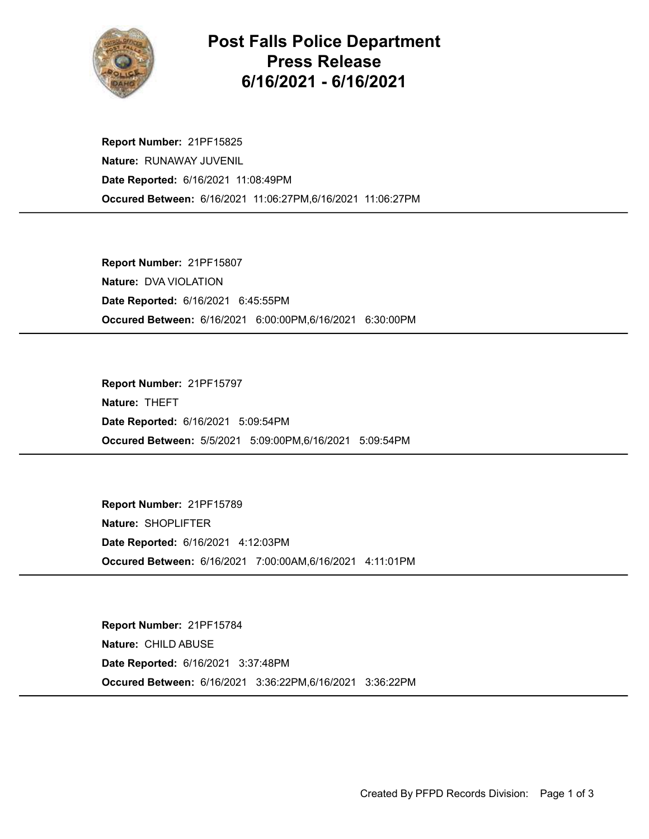

## Post Falls Police Department Press Release 6/16/2021 - 6/16/2021

Occured Between: 6/16/2021 11:06:27PM,6/16/2021 11:06:27PM Report Number: 21PF15825 Nature: RUNAWAY JUVENIL Date Reported: 6/16/2021 11:08:49PM

Occured Between: 6/16/2021 6:00:00PM,6/16/2021 6:30:00PM Report Number: 21PF15807 Nature: DVA VIOLATION Date Reported: 6/16/2021 6:45:55PM

Occured Between: 5/5/2021 5:09:00PM,6/16/2021 5:09:54PM Report Number: 21PF15797 Nature: THEFT Date Reported: 6/16/2021 5:09:54PM

Occured Between: 6/16/2021 7:00:00AM,6/16/2021 4:11:01PM Report Number: 21PF15789 Nature: SHOPLIFTER Date Reported: 6/16/2021 4:12:03PM

Occured Between: 6/16/2021 3:36:22PM,6/16/2021 3:36:22PM Report Number: 21PF15784 Nature: CHILD ABUSE Date Reported: 6/16/2021 3:37:48PM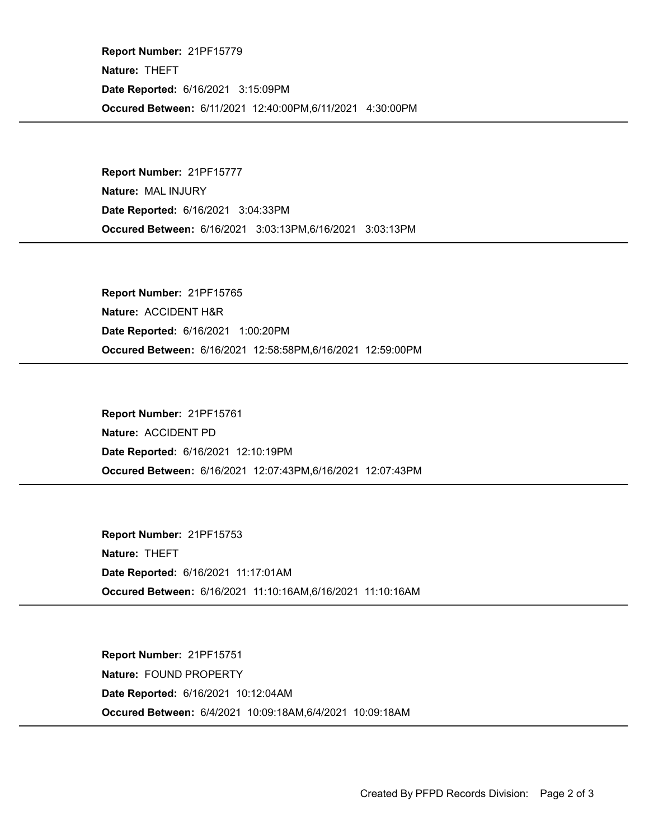Occured Between: 6/11/2021 12:40:00PM,6/11/2021 4:30:00PM Report Number: 21PF15779 Nature: THEFT Date Reported: 6/16/2021 3:15:09PM

Occured Between: 6/16/2021 3:03:13PM,6/16/2021 3:03:13PM Report Number: 21PF15777 Nature: MAL INJURY Date Reported: 6/16/2021 3:04:33PM

Occured Between: 6/16/2021 12:58:58PM,6/16/2021 12:59:00PM Report Number: 21PF15765 Nature: ACCIDENT H&R Date Reported: 6/16/2021 1:00:20PM

Occured Between: 6/16/2021 12:07:43PM,6/16/2021 12:07:43PM Report Number: 21PF15761 Nature: ACCIDENT PD Date Reported: 6/16/2021 12:10:19PM

Occured Between: 6/16/2021 11:10:16AM,6/16/2021 11:10:16AM Report Number: 21PF15753 Nature: THEFT Date Reported: 6/16/2021 11:17:01AM

Occured Between: 6/4/2021 10:09:18AM,6/4/2021 10:09:18AM Report Number: 21PF15751 Nature: FOUND PROPERTY Date Reported: 6/16/2021 10:12:04AM